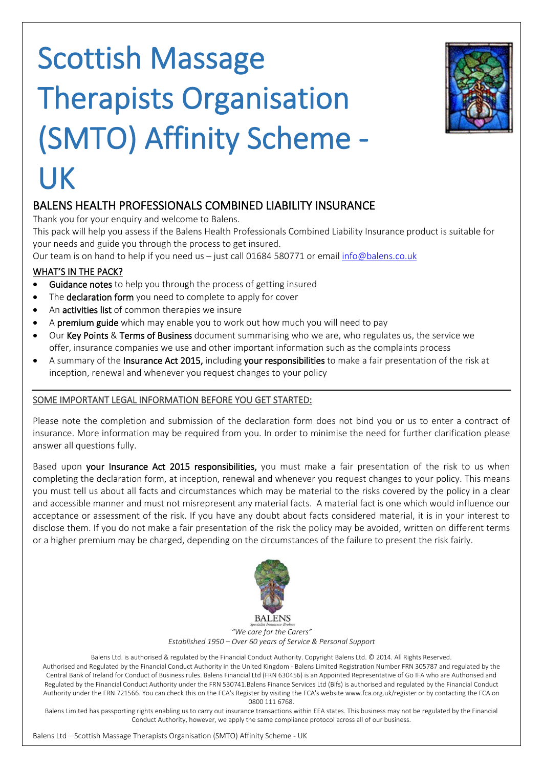# **Scottish Massage Therapists Organisation (SMTO) Affinity Scheme - UK**



#### **BALENS HEALTH PROFESSIONALS COMBINED LIABILITY INSURANCE**

Thank you for your enquiry and welcome to Balens.

This pack will help you assess if the Balens Health Professionals Combined Liability Insurance product is suitable for your needs and guide you through the process to get insured.

Our team is on hand to help if you need us – just call 01684 580771 or email [info@balens.co.uk](mailto:info@balens.co.uk)

#### **WHAT'S IN THE PACK?**

- **Guidance notes** to help you through the process of getting insured
- The **declaration form** you need to complete to apply for cover
- An **activities list** of common therapies we insure
- A **premium guide** which may enable you to work out how much you will need to pay
- Our **Key Points** & **Terms of Business** document summarising who we are, who regulates us, the service we offer, insurance companies we use and other important information such as the complaints process
- A summary of the **Insurance Act 2015,** including **your responsibilities** to make a fair presentation of the risk at inception, renewal and whenever you request changes to your policy

#### **SOME IMPORTANT LEGAL INFORMATION BEFORE YOU GET STARTED:**

Please note the completion and submission of the declaration form does not bind you or us to enter a contract of insurance. More information may be required from you. In order to minimise the need for further clarification please answer all questions fully.

Based upon **your Insurance Act 2015 responsibilities,** you must make a fair presentation of the risk to us when completing the declaration form, at inception, renewal and whenever you request changes to your policy. This means you must tell us about all facts and circumstances which may be material to the risks covered by the policy in a clear and accessible manner and must not misrepresent any material facts. A material fact is one which would influence our acceptance or assessment of the risk. If you have any doubt about facts considered material, it is in your interest to disclose them. If you do not make a fair presentation of the risk the policy may be avoided, written on different terms or a higher premium may be charged, depending on the circumstances of the failure to present the risk fairly.



*"We care for the Carers" Established 1950 – Over 60 years of Service & Personal Support*

Balens Ltd. is authorised & regulated by the Financial Conduct Authority. Copyright Balens Ltd. © 2014. All Rights Reserved. Authorised and Regulated by the Financial Conduct Authority in the United Kingdom - Balens Limited Registration Number FRN 305787 and regulated by the Central Bank of Ireland for Conduct of Business rules. Balens Financial Ltd (FRN 630456) is an Appointed Representative of Go IFA who are Authorised and Regulated by the Financial Conduct Authority under the FRN 530741.Balens Finance Services Ltd (Bifs) is authorised and regulated by the Financial Conduct Authority under the FRN 721566. You can check this on the FCA's Register by visiting the FCA's website www.fca.org.uk/register or by contacting the FCA on 0800 111 6768.

Balens Limited has passporting rights enabling us to carry out insurance transactions within EEA states. This business may not be regulated by the Financial Conduct Authority, however, we apply the same compliance protocol across all of our business.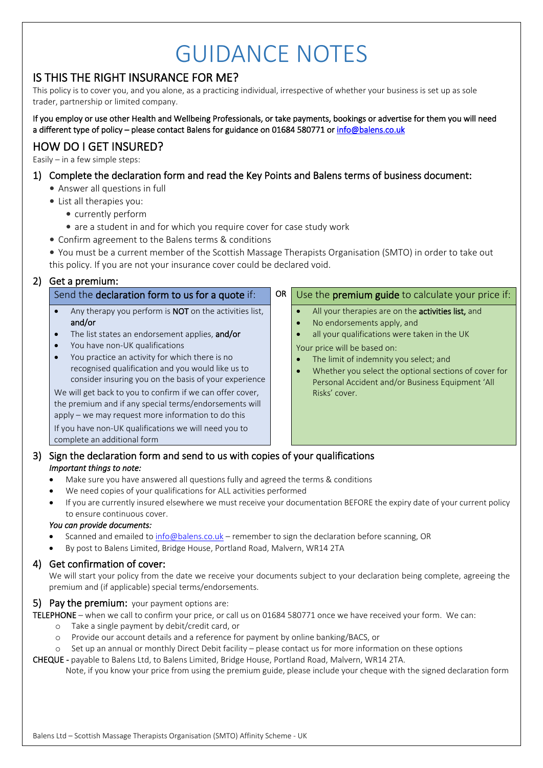## GUIDANCE NOTES

#### **IS THIS THE RIGHT INSURANCE FOR ME?**

This policy is to cover you, and you alone, as a practicing individual, irrespective of whether your business is set up as sole trader, partnership or limited company.

**If you employ or use other Health and Wellbeing Professionals, or take payments, bookings or advertise for them you will need a different type of policy – please contact Balens for guidance on 01684 580771 or [info@balens.co.uk](mailto:info@balens.co.uk)**

#### **HOW DO I GET INSURED?**

Easily – in a few simple steps:

#### **1) Complete the declaration form and read the Key Points and Balens terms of business document:**

- Answer all questions in full
- List all therapies you:
	- currently perform
		- are a student in and for which you require cover for case study work
- Confirm agreement to the Balens terms & conditions

• You must be a current member of the Scottish Massage Therapists Organisation (SMTO) in order to take out this policy. If you are not your insurance cover could be declared void.

#### **2) Get a premium:**

**and/or**

#### Send the **declaration form to us for a quote** if: **OR** Use the **premium guide** to calculate your price if:

 Whether you select the optional sections of cover for Personal Accident and/or Business Equipment 'All

- All your therapies are on the **activities list,** and
- No endorsements apply, and

Your price will be based on:

Risks' cover.

all your qualifications were taken in the UK

The limit of indemnity you select; and

- You have non-UK qualifications
- You practice an activity for which there is no recognised qualification and you would like us to consider insuring you on the basis of your experience

Any therapy you perform is **NOT** on the activities list,

The list states an endorsement applies, **and/or**

We will get back to you to confirm if we can offer cover, the premium and if any special terms/endorsements will apply – we may request more information to do this

If you have non-UK qualifications we will need you to complete an additional form

#### **3) Sign the declaration form and send to us with copies of your qualifications** *Important things to note:*

- Make sure you have answered all questions fully and agreed the terms & conditions
- We need copies of your qualifications for ALL activities performed
- If you are currently insured elsewhere we must receive your documentation BEFORE the expiry date of your current policy to ensure continuous cover.

#### *You can provide documents:*

- Scanned and emailed to [info@balens.co.uk](mailto:info@balens.co.uk) remember to sign the declaration before scanning, OR
- By post to Balens Limited, Bridge House, Portland Road, Malvern, WR14 2TA

#### **4) Get confirmation of cover:**

We will start your policy from the date we receive your documents subject to your declaration being complete, agreeing the premium and (if applicable) special terms/endorsements.

#### **5) Pay the premium:** your payment options are:

**TELEPHONE** – when we call to confirm your price, or call us on 01684 580771 once we have received your form. We can:

- o Take a single payment by debit/credit card, or
- o Provide our account details and a reference for payment by online banking/BACS, or
- o Set up an annual or monthly Direct Debit facility please contact us for more information on these options
- **CHEQUE -** payable to Balens Ltd, to Balens Limited, Bridge House, Portland Road, Malvern, WR14 2TA.

Note, if you know your price from using the premium guide, please include your cheque with the signed declaration form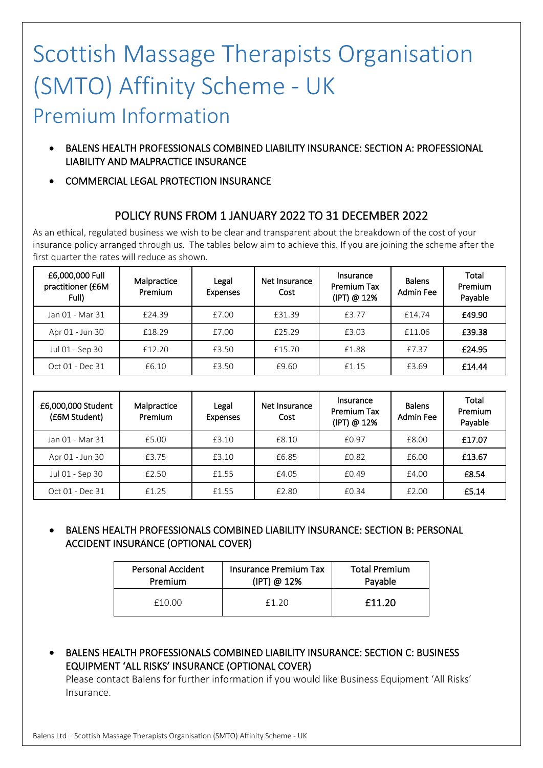### Scottish Massage Therapists Organisation (SMTO) Affinity Scheme - UK Premium Information

- **BALENS HEALTH PROFESSIONALS COMBINED LIABILITY INSURANCE: SECTION A: PROFESSIONAL LIABILITY AND MALPRACTICE INSURANCE**
- **COMMERCIAL LEGAL PROTECTION INSURANCE**

#### **POLICY RUNS FROM 1 JANUARY 2022 TO 31 DECEMBER 2022**

As an ethical, regulated business we wish to be clear and transparent about the breakdown of the cost of your insurance policy arranged through us. The tables below aim to achieve this. If you are joining the scheme after the first quarter the rates will reduce as shown.

| £6,000,000 Full<br>practitioner (£6M<br>Full) | Malpractice<br>Premium | Legal<br><b>Expenses</b> | Net Insurance<br>Cost | Insurance<br><b>Premium Tax</b><br>(IPT) @ 12% | <b>Balens</b><br><b>Admin Fee</b> | Total<br>Premium<br>Payable |
|-----------------------------------------------|------------------------|--------------------------|-----------------------|------------------------------------------------|-----------------------------------|-----------------------------|
| Jan 01 - Mar 31                               | £24.39                 | £7.00                    | £31.39                | £3.77                                          | £14.74                            | £49.90                      |
| Apr 01 - Jun 30                               | £18.29                 | £7.00                    | £25.29                | £3.03                                          | £11.06                            | £39.38                      |
| Jul 01 - Sep 30                               | £12.20                 | £3.50                    | £15.70                | £1.88                                          | £7.37                             | £24.95                      |
| Oct 01 - Dec 31                               | £6.10                  | £3.50                    | £9.60                 | £1.15                                          | £3.69                             | £14.44                      |

| £6,000,000 Student<br>(£6M Student) | Malpractice<br>Premium | Legal<br><b>Expenses</b> | Net Insurance<br>Cost | Insurance<br><b>Premium Tax</b><br>(IPT) @ 12% | <b>Balens</b><br><b>Admin Fee</b> | Total<br>Premium<br>Payable |
|-------------------------------------|------------------------|--------------------------|-----------------------|------------------------------------------------|-----------------------------------|-----------------------------|
| Jan 01 - Mar 31                     | £5.00                  | £3.10                    | £8.10                 | £0.97                                          | £8.00                             | £17.07                      |
| Apr 01 - Jun 30                     | £3.75                  | £3.10                    | £6.85                 | £0.82                                          | £6.00                             | £13.67                      |
| Jul 01 - Sep 30                     | £2.50                  | £1.55                    | £4.05                 | £0.49                                          | £4.00                             | £8.54                       |
| Oct 01 - Dec 31                     | £1.25                  | £1.55                    | £2.80                 | £0.34                                          | £2.00                             | £5.14                       |

#### **BALENS HEALTH PROFESSIONALS COMBINED LIABILITY INSURANCE: SECTION B: PERSONAL ACCIDENT INSURANCE (OPTIONAL COVER)**

| <b>Personal Accident</b> | <b>Insurance Premium Tax</b> | <b>Total Premium</b> |
|--------------------------|------------------------------|----------------------|
| Premium                  | (IPT) @ 12%                  | Payable              |
| f1000                    | F1 20                        | £11.20               |

 **BALENS HEALTH PROFESSIONALS COMBINED LIABILITY INSURANCE: SECTION C: BUSINESS EQUIPMENT 'ALL RISKS' INSURANCE (OPTIONAL COVER)**

Please contact Balens for further information if you would like Business Equipment 'All Risks' Insurance.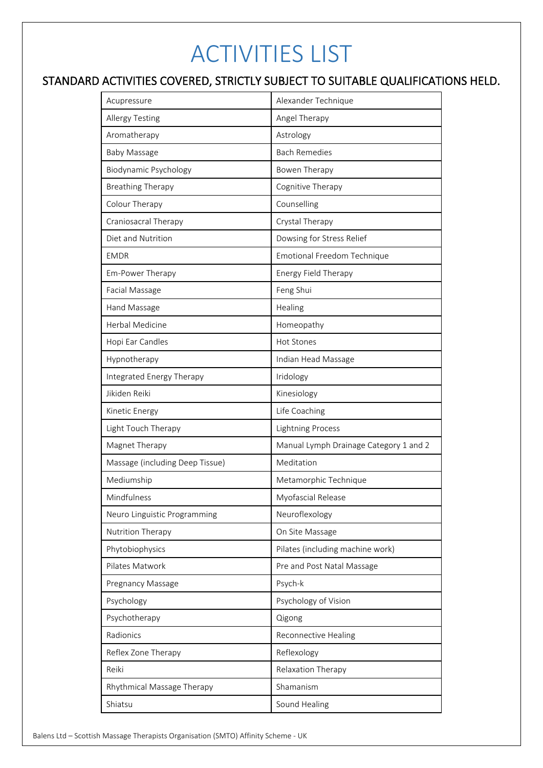## ACTIVITIES LIST

#### **STANDARD ACTIVITIES COVERED, STRICTLY SUBJECT TO SUITABLE QUALIFICATIONS HELD.**

| Acupressure                     | Alexander Technique                    |
|---------------------------------|----------------------------------------|
| <b>Allergy Testing</b>          | Angel Therapy                          |
| Aromatherapy                    | Astrology                              |
| <b>Baby Massage</b>             | <b>Bach Remedies</b>                   |
| Biodynamic Psychology           | Bowen Therapy                          |
| <b>Breathing Therapy</b>        | Cognitive Therapy                      |
| Colour Therapy                  | Counselling                            |
| Craniosacral Therapy            | Crystal Therapy                        |
| Diet and Nutrition              | Dowsing for Stress Relief              |
| <b>EMDR</b>                     | Emotional Freedom Technique            |
| Em-Power Therapy                | Energy Field Therapy                   |
| Facial Massage                  | Feng Shui                              |
| Hand Massage                    | Healing                                |
| Herbal Medicine                 | Homeopathy                             |
| Hopi Ear Candles                | <b>Hot Stones</b>                      |
| Hypnotherapy                    | Indian Head Massage                    |
| Integrated Energy Therapy       | Iridology                              |
| Jikiden Reiki                   | Kinesiology                            |
| Kinetic Energy                  | Life Coaching                          |
| Light Touch Therapy             | <b>Lightning Process</b>               |
| Magnet Therapy                  | Manual Lymph Drainage Category 1 and 2 |
| Massage (including Deep Tissue) | Meditation                             |
| Mediumship                      | Metamorphic Technique                  |
| Mindfulness                     | Myofascial Release                     |
| Neuro Linguistic Programming    | Neuroflexology                         |
| Nutrition Therapy               | On Site Massage                        |
| Phytobiophysics                 | Pilates (including machine work)       |
| Pilates Matwork                 | Pre and Post Natal Massage             |
| Pregnancy Massage               | Psych-k                                |
| Psychology                      | Psychology of Vision                   |
| Psychotherapy                   | Qigong                                 |
| Radionics                       | Reconnective Healing                   |
| Reflex Zone Therapy             | Reflexology                            |
| Reiki                           | Relaxation Therapy                     |
| Rhythmical Massage Therapy      | Shamanism                              |
| Shiatsu                         | Sound Healing                          |
|                                 |                                        |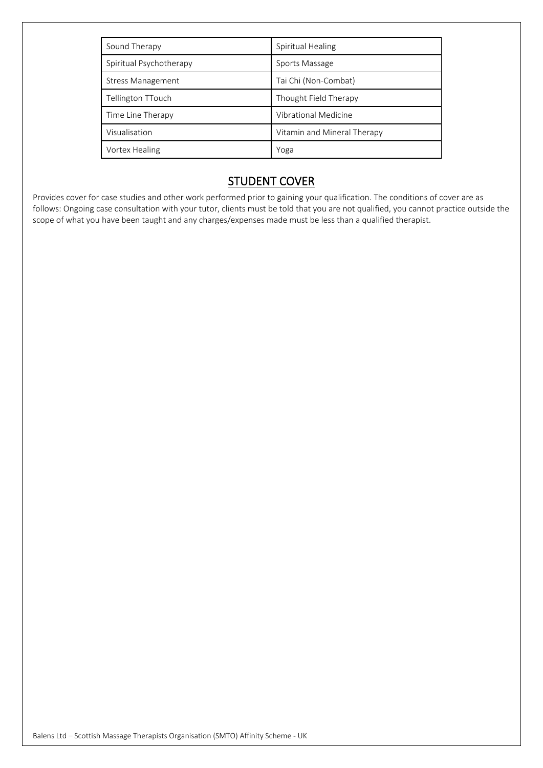| Sound Therapy            | Spiritual Healing           |
|--------------------------|-----------------------------|
| Spiritual Psychotherapy  | Sports Massage              |
| <b>Stress Management</b> | Tai Chi (Non-Combat)        |
| Tellington TTouch        | Thought Field Therapy       |
| Time Line Therapy        | Vibrational Medicine        |
| Visualisation            | Vitamin and Mineral Therapy |
| Vortex Healing           | Yoga                        |

#### **STUDENT COVER**

Provides cover for case studies and other work performed prior to gaining your qualification. The conditions of cover are as follows: Ongoing case consultation with your tutor, clients must be told that you are not qualified, you cannot practice outside the scope of what you have been taught and any charges/expenses made must be less than a qualified therapist.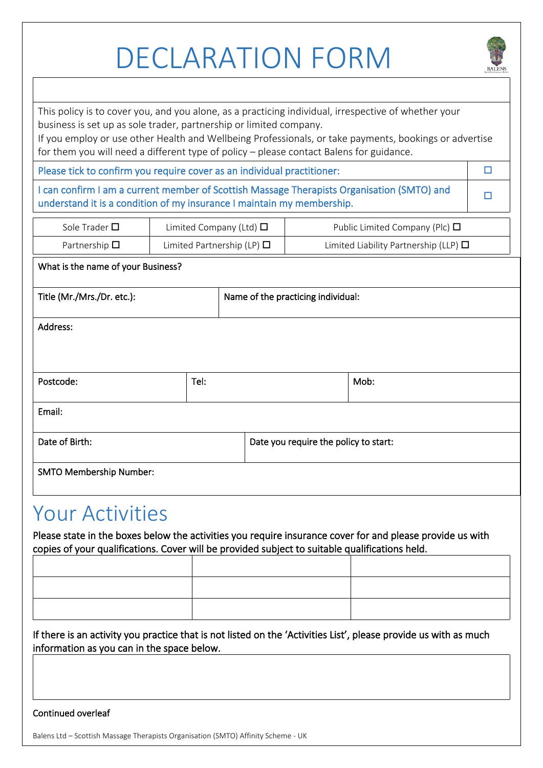# DECLARATION FORM



This policy is to cover you, and you alone, as a practicing individual, irrespective of whether your business is set up as sole trader, partnership or limited company.

If you employ or use other Health and Wellbeing Professionals, or take payments, bookings or advertise for them you will need a different type of policy – please contact Balens for guidance.

**Please tick to confirm you require cover as an individual practitioner:**

**I can confirm I am a current member of Scottish Massage Therapists Organisation (SMTO) and understand it is a condition of my insurance I maintain my membership.** △●

| Sole Trader $\square$ | Limited Company (Ltd) $\Box$    | Public Limited Company (Plc) $\Box$        |
|-----------------------|---------------------------------|--------------------------------------------|
| Partnership $\square$ | Limited Partnership (LP) $\Box$ | Limited Liability Partnership (LLP) $\Box$ |

**What is the name of your Business?**

**Title (Mr./Mrs./Dr. etc.): Name of the practicing individual:**

**Address:**

| Postcode:                      | Tel: |                                       | Mob: |
|--------------------------------|------|---------------------------------------|------|
| Email:                         |      |                                       |      |
| Date of Birth:                 |      | Date you require the policy to start: |      |
| <b>SMTO Membership Number:</b> |      |                                       |      |

### Your Activities

**Please state in the boxes below the activities you require insurance cover for and please provide us with copies of your qualifications. Cover will be provided subject to suitable qualifications held.**

**If there is an activity you practice that is not listed on the 'Activities List', please provide us with as much information as you can in the space below.**

#### **Continued overleaf**

Balens Ltd – Scottish Massage Therapists Organisation (SMTO) Affinity Scheme - UK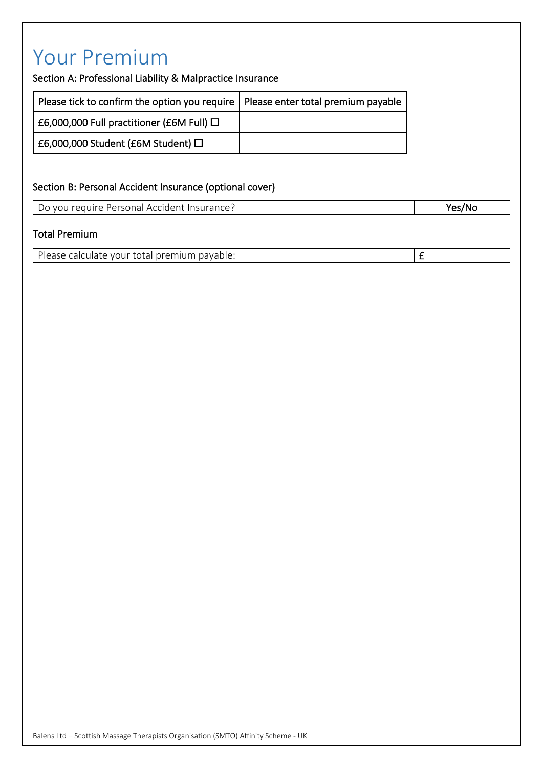### Your Premium

**Section A: Professional Liability & Malpractice Insurance**

| Please tick to confirm the option you require   Please enter total premium payable |  |
|------------------------------------------------------------------------------------|--|
| $\pm 6,000,000$ Full practitioner (£6M Full) $\Box$                                |  |
| $\pm 6,000,000$ Student (£6M Student) $\Box$                                       |  |

#### **Section B: Personal Accident Insurance (optional cover)**

Do you require Personal Accident Insurance? **Yes/No**

#### **Total Premium**

Please calculate your total premium payable: **E**